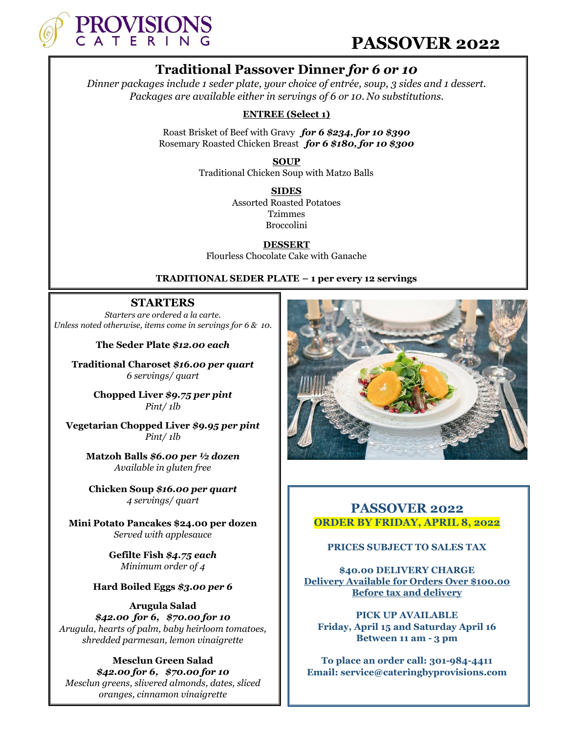

## **PASSOVER 2022**

## **Traditional Passover Dinner** *for 6 or 10*

*Dinner packages include 1 seder plate, your choice of entrée, soup, 3 sides and 1 dessert. Packages are available either in servings of 6 or 10. No substitutions.*

#### **ENTREE (Select 1)**

Roast Brisket of Beef with Gravy *for 6 \$234, for 10 \$390* Rosemary Roasted Chicken Breast *for 6 \$180, for 10 \$300*

> **SOUP** Traditional Chicken Soup with Matzo Balls

> > **SIDES** Assorted Roasted Potatoes Tzimmes Broccolini

**DESSERT** Flourless Chocolate Cake with Ganache

#### **TRADITIONAL SEDER PLATE – 1 per every 12 servings**

#### **STARTERS**

*Starters are ordered a la carte. Unless noted otherwise, items come in servings for 6 & 10.*

**The Seder Plate** *\$12.00 each*

**Traditional Charoset** *\$16.00 per quart 6 servings/ quart*

> **Chopped Liver** *\$9.75 per pint Pint/ 1lb*

**Vegetarian Chopped Liver** *\$9.95 per pint Pint/ 1lb*

> **Matzoh Balls** *\$6.00 per ½ dozen Available in gluten free*

**Chicken Soup** *\$16.00 per quart 4 servings/ quart*

**Mini Potato Pancakes \$24.00 per dozen** *Served with applesauce*

> **Gefilte Fish** *\$4.75 each Minimum order of 4*

#### **Hard Boiled Eggs** *\$3.00 per 6*

**Arugula Salad**  *\$42.00 for 6, \$70.00 for 10 Arugula, hearts of palm, baby heirloom tomatoes, shredded parmesan, lemon vinaigrette*

#### **Mesclun Green Salad**  *\$42.00 for 6, \$70.00 for 10 Mesclun greens, slivered almonds, dates, sliced oranges, cinnamon vinaigrette*



## **PASSOVER 2022 ORDER BY FRIDAY, APRIL 8, 2022**

#### **PRICES SUBJECT TO SALES TAX**

**\$40.00 DELIVERY CHARGE Delivery Available for Orders Over \$100.00 Before tax and delivery**

**PICK UP AVAILABLE Friday, April 15 and Saturday April 16 Between 11 am - 3 pm**

**To place an order call: 301-984-4411 Email: service@cateringbyprovisions.com**